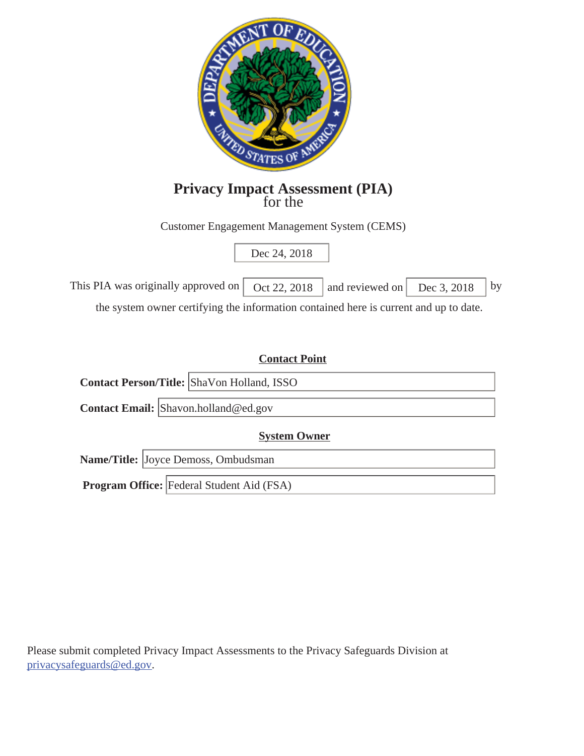

# **Privacy Impact Assessment (PIA)** for the

Customer Engagement Management System (CEMS)

Dec 24, 2018

| This PIA was originally approved on $\int$ Oct 22, 2018 $\int$ and reviewed on $\int$ Dec 3, 2018 $\int$ by |  |  |  |  |  |  |
|-------------------------------------------------------------------------------------------------------------|--|--|--|--|--|--|
|                                                                                                             |  |  |  |  |  |  |

the system owner certifying the information contained here is current and up to date.

# **Contact Point**

**Contact Person/Title:**  ShaVon Holland, ISSO

**Contact Email:**  Shavon.holland@ed.gov

# **System Owner**

**Name/Title:**  Joyce Demoss, Ombudsman

**Program Office:**  Federal Student Aid (FSA)

Please submit completed Privacy Impact Assessments to the Privacy Safeguards Division at privacysafeguards@ed.gov.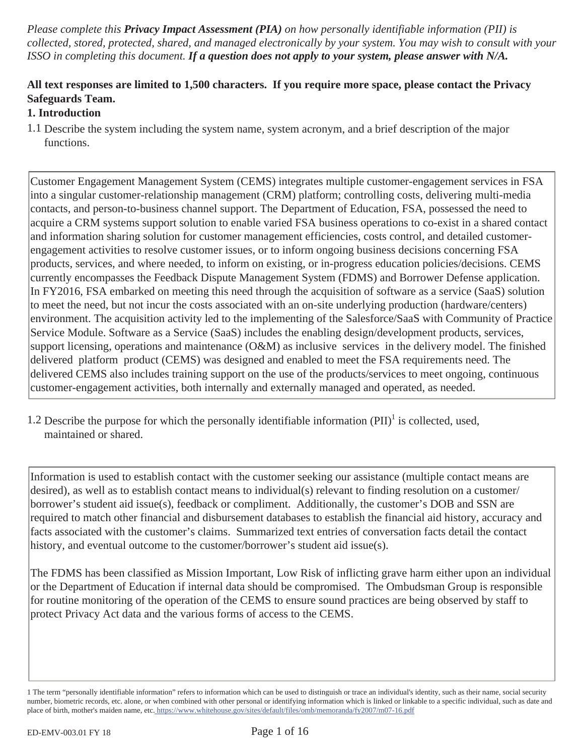*Please complete this Privacy Impact Assessment (PIA) on how personally identifiable information (PII) is collected, stored, protected, shared, and managed electronically by your system. You may wish to consult with your ISSO in completing this document. If a question does not apply to your system, please answer with N/A.* 

# **All text responses are limited to 1,500 characters. If you require more space, please contact the Privacy Safeguards Team.**

# **1. Introduction**

1.1 Describe the system including the system name, system acronym, and a brief description of the major functions.

Customer Engagement Management System (CEMS) integrates multiple customer-engagement services in FSA into a singular customer-relationship management (CRM) platform; controlling costs, delivering multi-media contacts, and person-to-business channel support. The Department of Education, FSA, possessed the need to acquire a CRM systems support solution to enable varied FSA business operations to co-exist in a shared contact and information sharing solution for customer management efficiencies, costs control, and detailed customerengagement activities to resolve customer issues, or to inform ongoing business decisions concerning FSA products, services, and where needed, to inform on existing, or in-progress education policies/decisions. CEMS currently encompasses the Feedback Dispute Management System (FDMS) and Borrower Defense application. In FY2016, FSA embarked on meeting this need through the acquisition of software as a service (SaaS) solution to meet the need, but not incur the costs associated with an on-site underlying production (hardware/centers) environment. The acquisition activity led to the implementing of the Salesforce/SaaS with Community of Practice Service Module. Software as a Service (SaaS) includes the enabling design/development products, services, support licensing, operations and maintenance (O&M) as inclusive services in the delivery model. The finished delivered platform product (CEMS) was designed and enabled to meet the FSA requirements need. The delivered CEMS also includes training support on the use of the products/services to meet ongoing, continuous customer-engagement activities, both internally and externally managed and operated, as needed.

1.2 Describe the purpose for which the personally identifiable information  $(PII)^1$  is collected, used, maintained or shared.

Information is used to establish contact with the customer seeking our assistance (multiple contact means are desired), as well as to establish contact means to individual(s) relevant to finding resolution on a customer/ borrower's student aid issue(s), feedback or compliment. Additionally, the customer's DOB and SSN are required to match other financial and disbursement databases to establish the financial aid history, accuracy and facts associated with the customer's claims. Summarized text entries of conversation facts detail the contact history, and eventual outcome to the customer/borrower's student aid issue(s).

The FDMS has been classified as Mission Important, Low Risk of inflicting grave harm either upon an individual or the Department of Education if internal data should be compromised. The Ombudsman Group is responsible for routine monitoring of the operation of the CEMS to ensure sound practices are being observed by staff to protect Privacy Act data and the various forms of access to the CEMS.

<sup>1</sup> The term "personally identifiable information" refers to information which can be used to distinguish or trace an individual's identity, such as their name, social security number, biometric records, etc. alone, or when combined with other personal or identifying information which is linked or linkable to a specific individual, such as date and place of birth, mother's maiden name, etc. https://www.whitehouse.gov/sites/default/files/omb/memoranda/fy2007/m07-16.pdf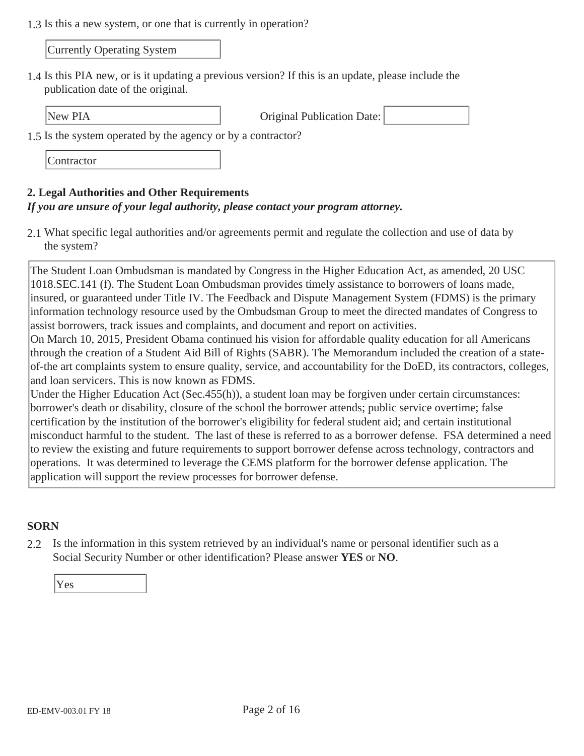1.3 Is this a new system, or one that is currently in operation?

Currently Operating System

1.4 Is this PIA new, or is it updating a previous version? If this is an update, please include the publication date of the original.

New PIA **Original Publication Date:** 

1.5 Is the system operated by the agency or by a contractor?

**Contractor** 

#### **2. Legal Authorities and Other Requirements**

#### *If you are unsure of your legal authority, please contact your program attorney.*

2.1 What specific legal authorities and/or agreements permit and regulate the collection and use of data by the system?

The Student Loan Ombudsman is mandated by Congress in the Higher Education Act, as amended, 20 USC 1018.SEC.141 (f). The Student Loan Ombudsman provides timely assistance to borrowers of loans made, insured, or guaranteed under Title IV. The Feedback and Dispute Management System (FDMS) is the primary information technology resource used by the Ombudsman Group to meet the directed mandates of Congress to assist borrowers, track issues and complaints, and document and report on activities.

On March 10, 2015, President Obama continued his vision for affordable quality education for all Americans through the creation of a Student Aid Bill of Rights (SABR). The Memorandum included the creation of a stateof-the art complaints system to ensure quality, service, and accountability for the DoED, its contractors, colleges, and loan servicers. This is now known as FDMS.

Under the Higher Education Act (Sec.455(h)), a student loan may be forgiven under certain circumstances: borrower's death or disability, closure of the school the borrower attends; public service overtime; false certification by the institution of the borrower's eligibility for federal student aid; and certain institutional misconduct harmful to the student. The last of these is referred to as a borrower defense. FSA determined a need to review the existing and future requirements to support borrower defense across technology, contractors and operations. It was determined to leverage the CEMS platform for the borrower defense application. The application will support the review processes for borrower defense.

#### **SORN**

2.2 Is the information in this system retrieved by an individual's name or personal identifier such as a Social Security Number or other identification? Please answer **YES** or **NO**.

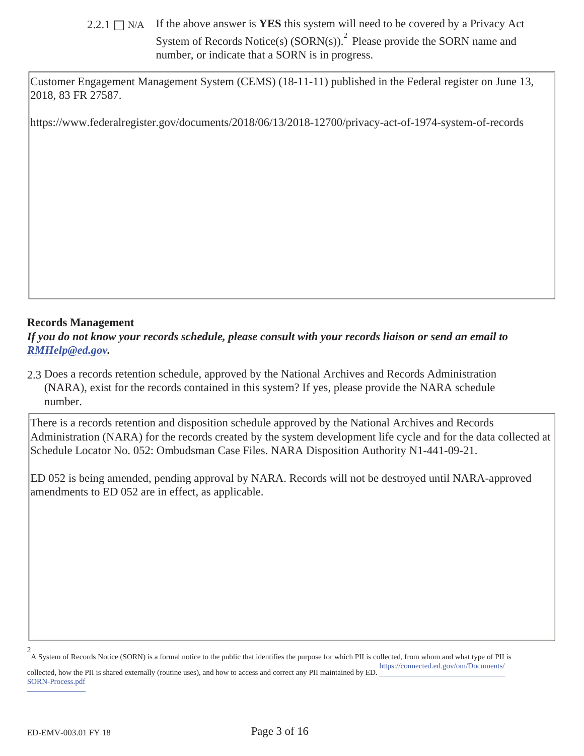2.2.1  $\Box$  N/A If the above answer is **YES** this system will need to be covered by a Privacy Act System of Records Notice(s)  $(SORN(s))$ .<sup>2</sup> Please provide the SORN name and number, or indicate that a SORN is in progress.

Customer Engagement Management System (CEMS) (18-11-11) published in the Federal register on June 13, 2018, 83 FR 27587.

https://www.federalregister.gov/documents/2018/06/13/2018-12700/privacy-act-of-1974-system-of-records

#### **Records Management**

*If you do not know your records schedule, please consult with your records liaison or send an email to RMHelp@ed.gov.* 

2.3 Does a records retention schedule, approved by the National Archives and Records Administration (NARA), exist for the records contained in this system? If yes, please provide the NARA schedule number.

There is a records retention and disposition schedule approved by the National Archives and Records Administration (NARA) for the records created by the system development life cycle and for the data collected at Schedule Locator No. 052: Ombudsman Case Files. NARA Disposition Authority N1-441-09-21.

ED 052 is being amended, pending approval by NARA. Records will not be destroyed until NARA-approved amendments to ED 052 are in effect, as applicable.

A System of Records Notice (SORN) is a formal notice to the public that identifies the purpose for which PII is collected, from whom and what type of PII is 2 https://connected.ed.gov/om/Documents/

collected, how the PII is shared externally (routine uses), and how to access and correct any PII maintained by ED. SORN-Process.pdf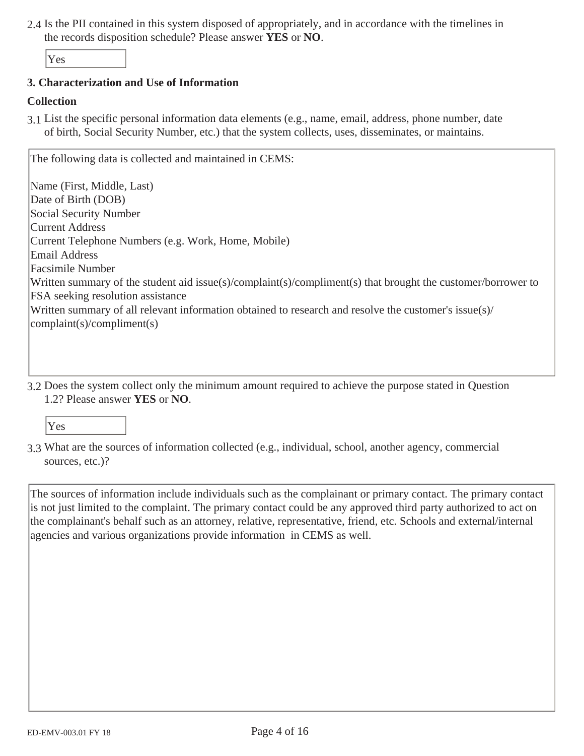2.4 Is the PII contained in this system disposed of appropriately, and in accordance with the timelines in the records disposition schedule? Please answer **YES** or **NO**.

Yes

#### **3. Characterization and Use of Information**

#### **Collection**

3.1 List the specific personal information data elements (e.g., name, email, address, phone number, date of birth, Social Security Number, etc.) that the system collects, uses, disseminates, or maintains.

| The following data is collected and maintained in CEMS:                                                      |
|--------------------------------------------------------------------------------------------------------------|
| Name (First, Middle, Last)                                                                                   |
| Date of Birth (DOB)                                                                                          |
| Social Security Number                                                                                       |
| Current Address                                                                                              |
| Current Telephone Numbers (e.g. Work, Home, Mobile)                                                          |
| Email Address                                                                                                |
| <b>Facsimile Number</b>                                                                                      |
| Written summary of the student aid issue(s)/complaint(s)/compliment(s) that brought the customer/borrower to |
| <b>FSA</b> seeking resolution assistance                                                                     |
| Written summary of all relevant information obtained to research and resolve the customer's issue(s)/        |
| complain(s)/compliment(s)                                                                                    |
|                                                                                                              |
|                                                                                                              |

3.2 Does the system collect only the minimum amount required to achieve the purpose stated in Question 1.2? Please answer **YES** or **NO**.

Yes

3.3 What are the sources of information collected (e.g., individual, school, another agency, commercial sources, etc.)?

The sources of information include individuals such as the complainant or primary contact. The primary contact is not just limited to the complaint. The primary contact could be any approved third party authorized to act on the complainant's behalf such as an attorney, relative, representative, friend, etc. Schools and external/internal agencies and various organizations provide information in CEMS as well.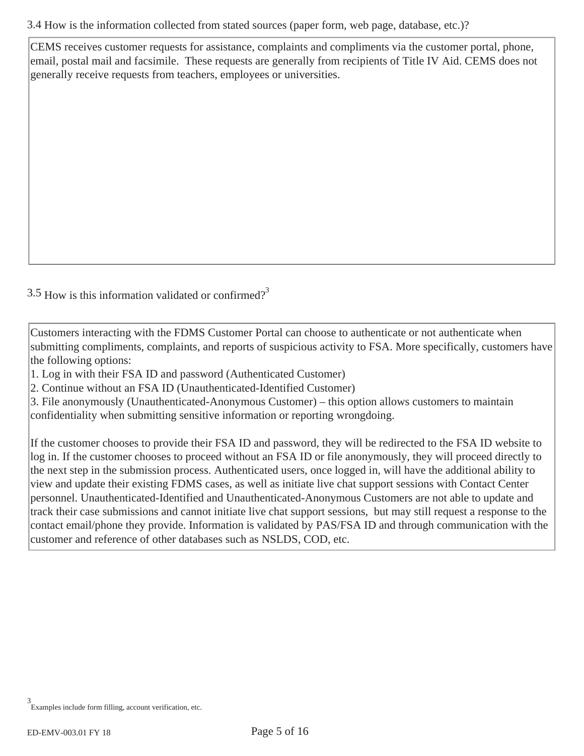CEMS receives customer requests for assistance, complaints and compliments via the customer portal, phone, email, postal mail and facsimile. These requests are generally from recipients of Title IV Aid. CEMS does not generally receive requests from teachers, employees or universities.

 $3.5$  How is this information validated or confirmed?<sup>3</sup>

Customers interacting with the FDMS Customer Portal can choose to authenticate or not authenticate when submitting compliments, complaints, and reports of suspicious activity to FSA. More specifically, customers have the following options:

1. Log in with their FSA ID and password (Authenticated Customer)

2. Continue without an FSA ID (Unauthenticated-Identified Customer)

3. File anonymously (Unauthenticated-Anonymous Customer) – this option allows customers to maintain confidentiality when submitting sensitive information or reporting wrongdoing.

If the customer chooses to provide their FSA ID and password, they will be redirected to the FSA ID website to log in. If the customer chooses to proceed without an FSA ID or file anonymously, they will proceed directly to the next step in the submission process. Authenticated users, once logged in, will have the additional ability to view and update their existing FDMS cases, as well as initiate live chat support sessions with Contact Center personnel. Unauthenticated-Identified and Unauthenticated-Anonymous Customers are not able to update and track their case submissions and cannot initiate live chat support sessions, but may still request a response to the contact email/phone they provide. Information is validated by PAS/FSA ID and through communication with the customer and reference of other databases such as NSLDS, COD, etc.

Examples include form filling, account verification, etc. 3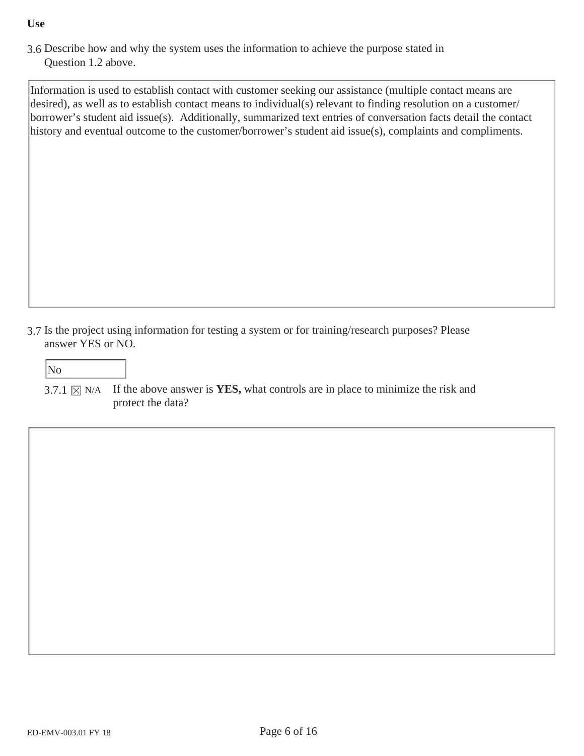#### **Use**

3.6 Describe how and why the system uses the information to achieve the purpose stated in Question 1.2 above.

Information is used to establish contact with customer seeking our assistance (multiple contact means are desired), as well as to establish contact means to individual(s) relevant to finding resolution on a customer/ borrower's student aid issue(s). Additionally, summarized text entries of conversation facts detail the contact history and eventual outcome to the customer/borrower's student aid issue(s), complaints and compliments.

3.7 Is the project using information for testing a system or for training/research purposes? Please answer YES or NO.

# No

3.7.1  $\boxtimes$  N/A If the above answer is **YES**, what controls are in place to minimize the risk and protect the data?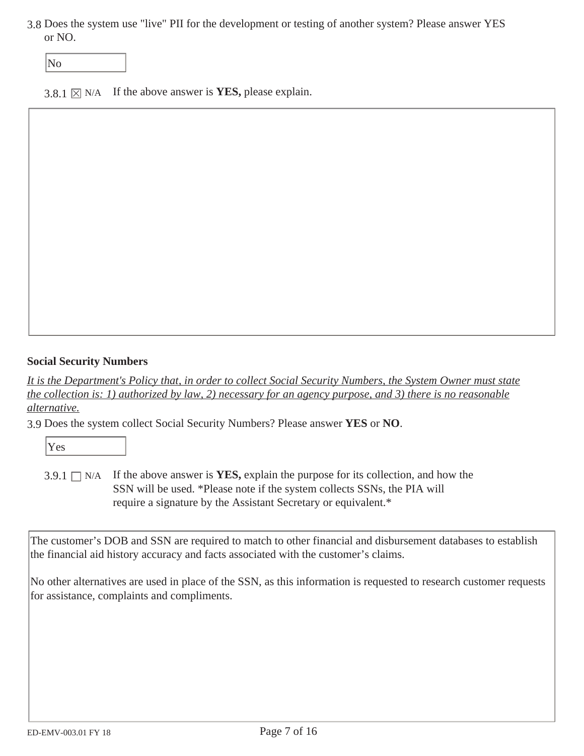3.8 Does the system use "live" PII for the development or testing of another system? Please answer YES or NO.

No

3.8.1  $\times$  N/A If the above answer is **YES**, please explain.

#### **Social Security Numbers**

*It is the Department's Policy that, in order to collect Social Security Numbers, the System Owner must state the collection is: 1) authorized by law, 2) necessary for an agency purpose, and 3) there is no reasonable alternative.* 

3.9 Does the system collect Social Security Numbers? Please answer **YES** or **NO**.

Yes

3.9.1  $\Box$  N/A If the above answer is **YES**, explain the purpose for its collection, and how the SSN will be used. \*Please note if the system collects SSNs, the PIA will require a signature by the Assistant Secretary or equivalent.\*

The customer's DOB and SSN are required to match to other financial and disbursement databases to establish the financial aid history accuracy and facts associated with the customer's claims.

No other alternatives are used in place of the SSN, as this information is requested to research customer requests for assistance, complaints and compliments.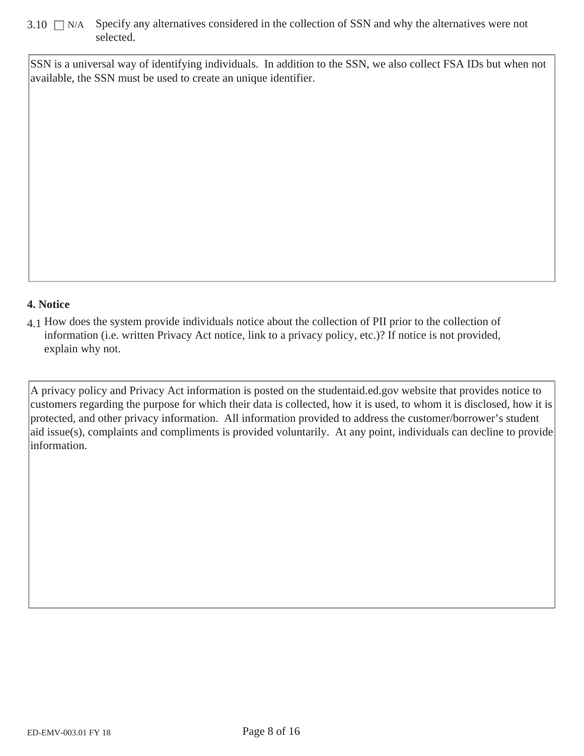## $3.10$   $\Box$  N/A Specify any alternatives considered in the collection of SSN and why the alternatives were not selected.

SSN is a universal way of identifying individuals. In addition to the SSN, we also collect FSA IDs but when not available, the SSN must be used to create an unique identifier.

# **4. Notice**

4.1 How does the system provide individuals notice about the collection of PII prior to the collection of information (i.e. written Privacy Act notice, link to a privacy policy, etc.)? If notice is not provided, explain why not.

A privacy policy and Privacy Act information is posted on the studentaid.ed.gov website that provides notice to customers regarding the purpose for which their data is collected, how it is used, to whom it is disclosed, how it is protected, and other privacy information. All information provided to address the customer/borrower's student aid issue(s), complaints and compliments is provided voluntarily. At any point, individuals can decline to provide information.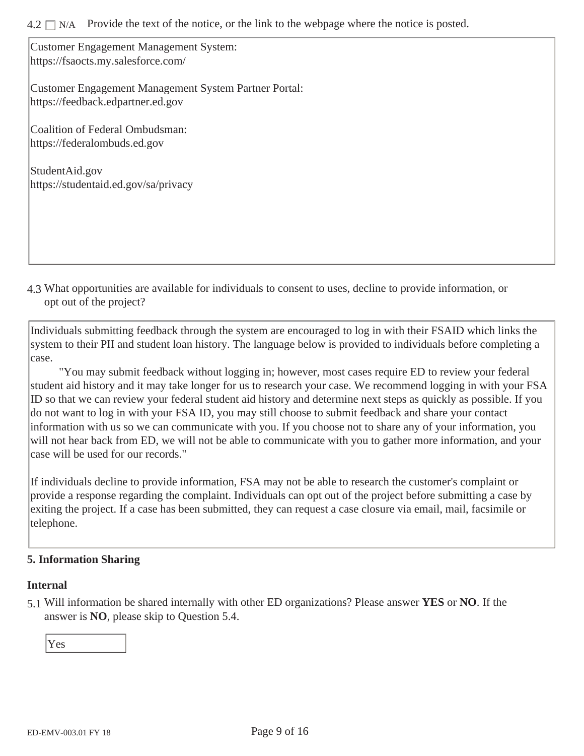$4.2 \square N/A$  Provide the text of the notice, or the link to the webpage where the notice is posted.

Customer Engagement Management System: https://fsaocts.my.salesforce.com/

Customer Engagement Management System Partner Portal: https://feedback.edpartner.ed.gov

Coalition of Federal Ombudsman: https://federalombuds.ed.gov

StudentAid.gov https://studentaid.ed.gov/sa/privacy

4.3 What opportunities are available for individuals to consent to uses, decline to provide information, or opt out of the project?

Individuals submitting feedback through the system are encouraged to log in with their FSAID which links the system to their PII and student loan history. The language below is provided to individuals before completing a case.

"You may submit feedback without logging in; however, most cases require ED to review your federal student aid history and it may take longer for us to research your case. We recommend logging in with your FSA ID so that we can review your federal student aid history and determine next steps as quickly as possible. If you do not want to log in with your FSA ID, you may still choose to submit feedback and share your contact information with us so we can communicate with you. If you choose not to share any of your information, you will not hear back from ED, we will not be able to communicate with you to gather more information, and your case will be used for our records."

If individuals decline to provide information, FSA may not be able to research the customer's complaint or provide a response regarding the complaint. Individuals can opt out of the project before submitting a case by exiting the project. If a case has been submitted, they can request a case closure via email, mail, facsimile or telephone.

#### **5. Information Sharing**

#### **Internal**

5.1 Will information be shared internally with other ED organizations? Please answer **YES** or **NO**. If the answer is **NO**, please skip to Question 5.4.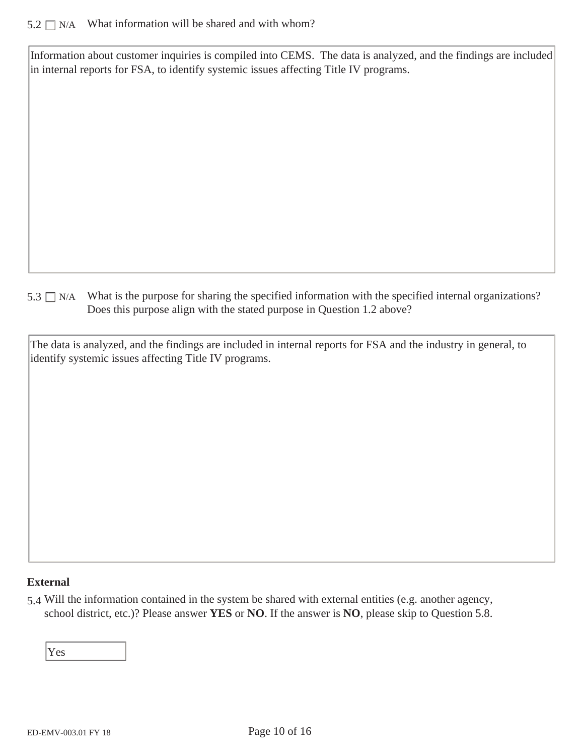# $5.2 \square$  N/A What information will be shared and with whom?

Information about customer inquiries is compiled into CEMS. The data is analyzed, and the findings are included in internal reports for FSA, to identify systemic issues affecting Title IV programs.

What is the purpose for sharing the specified information with the specified internal organizations? Does this purpose align with the stated purpose in Question 1.2 above?  $5.3 \square$  N/A

The data is analyzed, and the findings are included in internal reports for FSA and the industry in general, to identify systemic issues affecting Title IV programs.

#### **External**

5.4 Will the information contained in the system be shared with external entities (e.g. another agency, school district, etc.)? Please answer **YES** or **NO**. If the answer is **NO**, please skip to Question 5.8.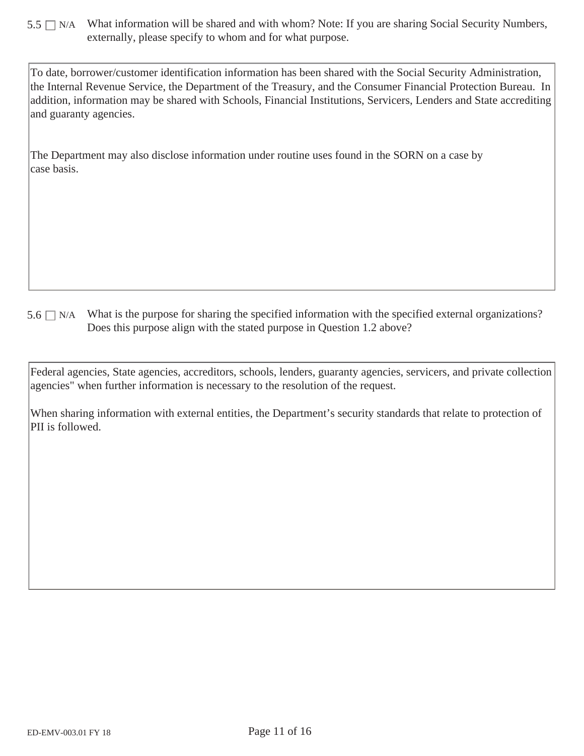$5.5 \Box$  N/A What information will be shared and with whom? Note: If you are sharing Social Security Numbers, externally, please specify to whom and for what purpose.

To date, borrower/customer identification information has been shared with the Social Security Administration, the Internal Revenue Service, the Department of the Treasury, and the Consumer Financial Protection Bureau. In addition, information may be shared with Schools, Financial Institutions, Servicers, Lenders and State accrediting and guaranty agencies.

The Department may also disclose information under routine uses found in the SORN on a case by case basis.

 $5.6 \Box$  N/A What is the purpose for sharing the specified information with the specified external organizations? Does this purpose align with the stated purpose in Question 1.2 above?

Federal agencies, State agencies, accreditors, schools, lenders, guaranty agencies, servicers, and private collection agencies" when further information is necessary to the resolution of the request.

When sharing information with external entities, the Department's security standards that relate to protection of PII is followed.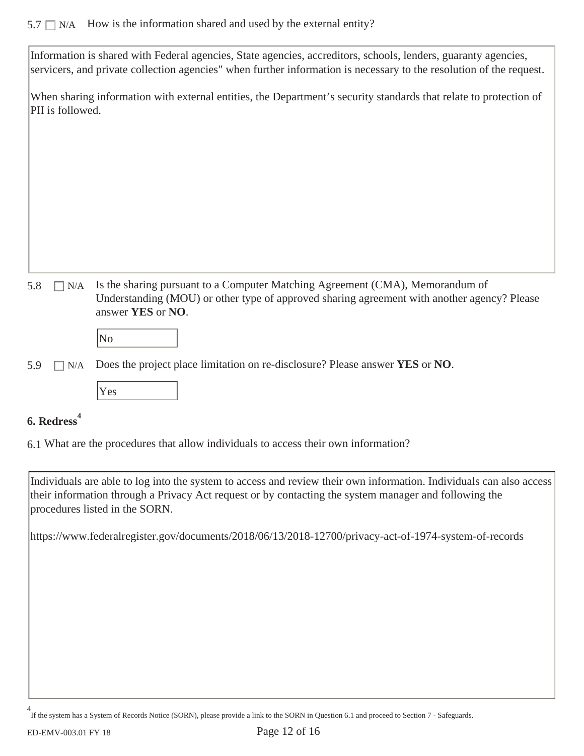## $5.7 \Box$  N/A How is the information shared and used by the external entity?

Information is shared with Federal agencies, State agencies, accreditors, schools, lenders, guaranty agencies, servicers, and private collection agencies" when further information is necessary to the resolution of the request.

When sharing information with external entities, the Department's security standards that relate to protection of PII is followed.

|  | 5.8 $\Box$ N/A Is the sharing pursuant to a Computer Matching Agreement (CMA), Memorandum of |
|--|----------------------------------------------------------------------------------------------|
|  | Understanding (MOU) or other type of approved sharing agreement with another agency? Please  |
|  | answer YES or NO.                                                                            |

| N |  |  |
|---|--|--|
|   |  |  |

5.9 N/A Does the project place limitation on re-disclosure? Please answer **YES** or **NO**.



# **6. Redress<sup>4</sup>**

6.1 What are the procedures that allow individuals to access their own information?

Individuals are able to log into the system to access and review their own information. Individuals can also access their information through a Privacy Act request or by contacting the system manager and following the procedures listed in the SORN.

https://www.federalregister.gov/documents/2018/06/13/2018-12700/privacy-act-of-1974-system-of-records

If the system has a System of Records Notice (SORN), please provide a link to the SORN in Question 6.1 and proceed to Section 7 - Safeguards. 4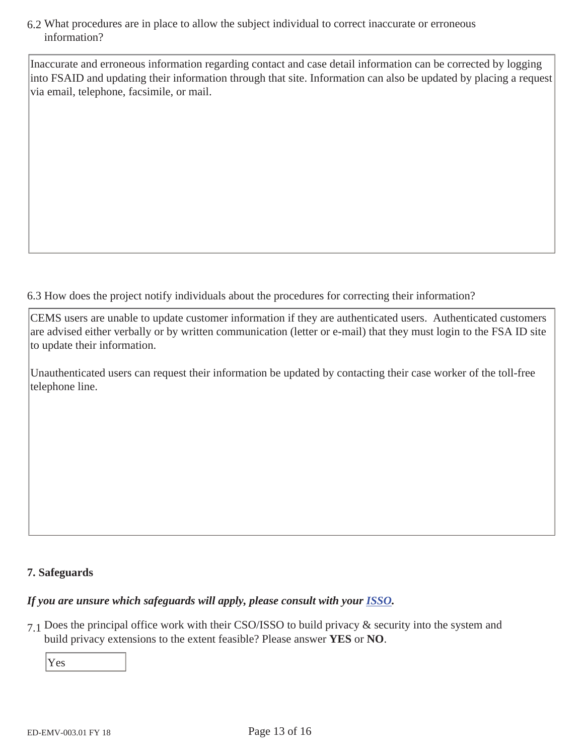6.2 What procedures are in place to allow the subject individual to correct inaccurate or erroneous information?

Inaccurate and erroneous information regarding contact and case detail information can be corrected by logging into FSAID and updating their information through that site. Information can also be updated by placing a request via email, telephone, facsimile, or mail.

6.3 How does the project notify individuals about the procedures for correcting their information?

CEMS users are unable to update customer information if they are authenticated users. Authenticated customers are advised either verbally or by written communication (letter or e-mail) that they must login to the FSA ID site to update their information.

Unauthenticated users can request their information be updated by contacting their case worker of the toll-free telephone line.

# **7. Safeguards**

# *If you are unsure which safeguards will apply, please consult with your ISSO.*

7.1 Does the principal office work with their CSO/ISSO to build privacy & security into the system and build privacy extensions to the extent feasible? Please answer **YES** or **NO**.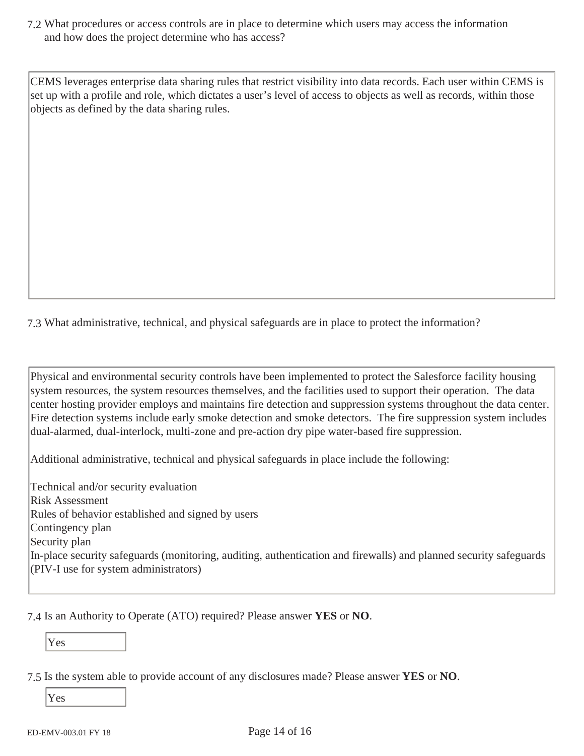7.2 What procedures or access controls are in place to determine which users may access the information and how does the project determine who has access?

CEMS leverages enterprise data sharing rules that restrict visibility into data records. Each user within CEMS is set up with a profile and role, which dictates a user's level of access to objects as well as records, within those objects as defined by the data sharing rules.

7.3 What administrative, technical, and physical safeguards are in place to protect the information?

Physical and environmental security controls have been implemented to protect the Salesforce facility housing system resources, the system resources themselves, and the facilities used to support their operation. The data center hosting provider employs and maintains fire detection and suppression systems throughout the data center. Fire detection systems include early smoke detection and smoke detectors. The fire suppression system includes dual-alarmed, dual-interlock, multi-zone and pre-action dry pipe water-based fire suppression.

Additional administrative, technical and physical safeguards in place include the following:

Technical and/or security evaluation Risk Assessment Rules of behavior established and signed by users Contingency plan Security plan In-place security safeguards (monitoring, auditing, authentication and firewalls) and planned security safeguards (PIV-I use for system administrators)

Yes

7.5 Is the system able to provide account of any disclosures made? Please answer **YES** or **NO**.

<sup>7.4</sup> Is an Authority to Operate (ATO) required? Please answer **YES** or **NO**.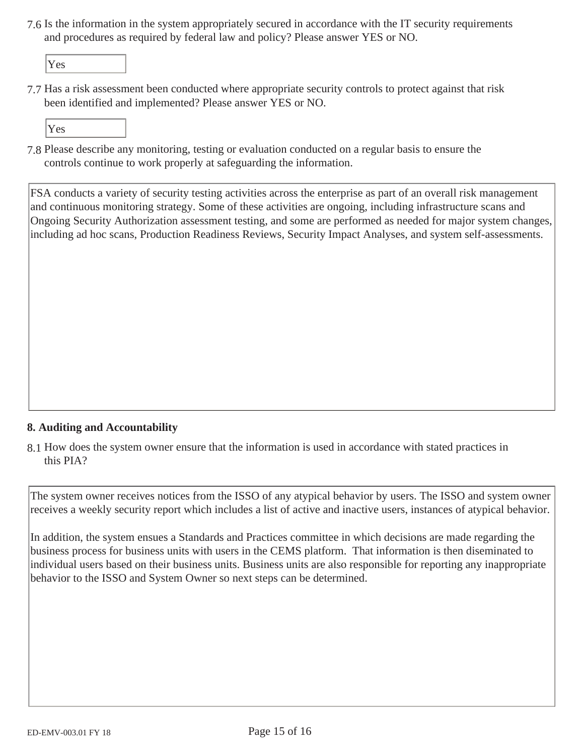7.6 Is the information in the system appropriately secured in accordance with the IT security requirements and procedures as required by federal law and policy? Please answer YES or NO.

Yes

7.7 Has a risk assessment been conducted where appropriate security controls to protect against that risk been identified and implemented? Please answer YES or NO.

Yes

7.8 Please describe any monitoring, testing or evaluation conducted on a regular basis to ensure the controls continue to work properly at safeguarding the information.

FSA conducts a variety of security testing activities across the enterprise as part of an overall risk management and continuous monitoring strategy. Some of these activities are ongoing, including infrastructure scans and Ongoing Security Authorization assessment testing, and some are performed as needed for major system changes, including ad hoc scans, Production Readiness Reviews, Security Impact Analyses, and system self-assessments.

# **8. Auditing and Accountability**

8.1 How does the system owner ensure that the information is used in accordance with stated practices in this PIA?

The system owner receives notices from the ISSO of any atypical behavior by users. The ISSO and system owner receives a weekly security report which includes a list of active and inactive users, instances of atypical behavior.

In addition, the system ensues a Standards and Practices committee in which decisions are made regarding the business process for business units with users in the CEMS platform. That information is then diseminated to individual users based on their business units. Business units are also responsible for reporting any inappropriate behavior to the ISSO and System Owner so next steps can be determined.